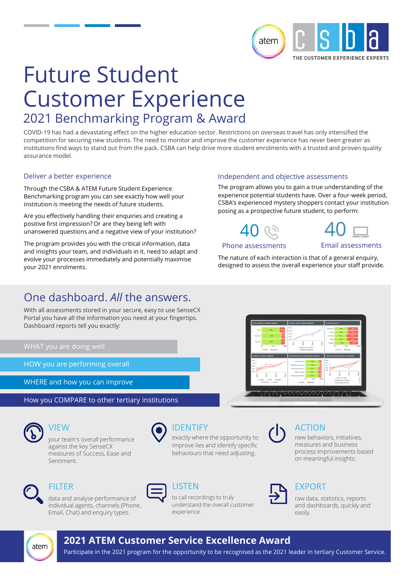

# Future Student Customer Experience 2021 Benchmarking Program & Award

COVID-19 has had a devastating effect on the higher education sector. Restrictions on overseas travel has only intensified the competition for securing new students. The need to monitor and improve the customer experience has never been greater as institutions find ways to stand out from the pack. CSBA can help drive more student enrolments with a trusted and proven quality assurance model.

#### Deliver a better experience

Through the CSBA & ATEM Future Student Experience Benchmarking program you can see exactly how well your institution is meeting the needs of future students.

Are you effectively handling their enquiries and creating a positive first impression? Or are they being left with unanswered questions and a negative view of your institution?

The program provides you with the critical information, data and insights your team, and individuals in it, need to adapt and evolve your processes immediately and potentially maximise your 2021 enrolments.

## One dashboard. *All* the answers.

With all assessments stored in your secure, easy to use SenseCX Portal you have all the information you need at your fingertips. Dashboard reports tell you exactly:

HOW you are performing overall

WHERE and how you can improve

How you COMPARE to other tertiary institutions

VIEW

your team's overall performance against the key SenseCX measures of Success, Ease and Sentiment.



exactly where the opportunity to improve lies and identify specific behaviours that need adjusting.



### FILTER





to call recordings to truly understand the overall customer experience.



### EXPORT

ACTION

raw data, statistics, reports and dashboards, quickly and easily.

new behaviors, initiatives, measures and business process improvements based on meaningful insights.



Phone assessments

40

Email assessments

The nature of each interaction is that of a general enquiry, designed to assess the overall experience your staff provide.

The program allows you to gain a true understanding of the experience potential students have. Over a four-week period, CSBA's experienced mystery shoppers contact your institution

Independent and objective assessments

posing as a prospective future student, to perform:





### **2021 ATEM Customer Service Excellence Award**

LISTEN

Participate in the 2021 program for the opportunity to be recognised as the 2021 leader in tertiary Customer Service.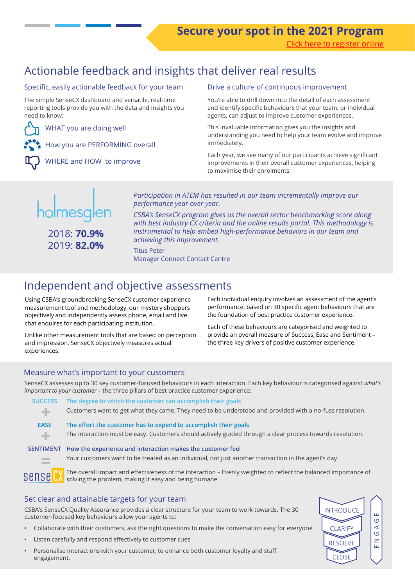# Actionable feedback and insights that deliver real results

#### Specific, easily actionable feedback for your team

The simple SenseCX dashboard and versatile, real-time reporting tools provide you with the data and insights you need to know:

WHAT you are doing well

How you are PERFORMING overall

WHERE and HOW to improve

#### Drive a culture of continuous improvement

You're able to drill down into the detail of each assessment and identify specific behaviours that your team, or individual agents, can adjust to improve customer experiences.

This invaluable information gives you the insights and understanding you need to help your team evolve and improve immediately.

Each year, we see many of our participants achieve significant improvements in their overall customer experiences, helping to maximise their enrolments.



2018: **70.9%** 2019: **82.0%**

*Participation in ATEM has resulted in our team incrementally improve our performance year over year.* 

*CSBA's SenseCX program gives us the overall sector benchmarking score along with best industry CX criteria and the online results portal. This methodology is instrumental to help embed high-performance behaviors in our team and achieving this improvement.* 

Titus Peter Manager Connect Contact Centre

## Independent and objective assessments

Using CSBA's groundbreaking SenseCX customer experience measurement tool and methodology, our mystery shoppers objectively and independently assess phone, email and live chat enquires for each participating institution.

Unlike other measurement tools that are based on perception and impression, SenseCX objectively measures actual experiences.

Each individual enquiry involves an assessment of the agent's performance, based on 30 specific agent behaviours that are the foundation of best practice customer experience.

Each of these behaviours are categorised and weighted to provide an overall measure of Success, Ease and Sentiment – the three key drivers of positive customer experience.

#### Measure what's important to your customers

SenseCX assesses up to 30 key customer-focused behaviours in each interaction. Each key behaviour is categorised against *what's important to your customer -* the three pillars of best practice customer experience:

| <b>SUCCESS</b>   | The degree to which the customer can accomplish their goals                                                                                                             |
|------------------|-------------------------------------------------------------------------------------------------------------------------------------------------------------------------|
| ÷                | Customers want to get what they came. They need to be understood and provided with a no-fuss resolution.                                                                |
| <b>EASE</b>      | The effort the customer has to expend to accomplish their goals                                                                                                         |
| ÷                | The interaction must be easy. Customers should actively guided through a clear process towards resolution.                                                              |
| <b>SENTIMENT</b> | How the experience and interaction makes the customer feel                                                                                                              |
|                  | Your customers want to be treated as an individual, not just another transaction in the agent's day.                                                                    |
| sensel           | The overall impact and effectiveness of the interaction – Evenly weighted to reflect the balanced importance of<br>solving the problem, making it easy and being humane |

#### Set clear and attainable targets for your team

CSBA's SenseCX Quality Assurance provides a clear structure for your team to work towards. The 30 customer-focused key behaviours allow your agents to:

- Collaborate with their customers, ask the right questions to make the conversation easy for everyone
- Listen carefully and respond effectively to customer cues
- Personalise interactions with your customer, to enhance both customer loyalty and staff engagement.